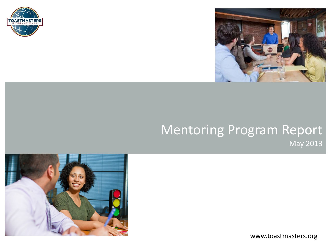



### Mentoring Program Report May 2013



www.toastmasters.org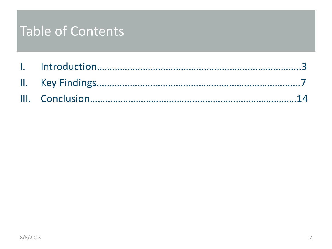# Table of Contents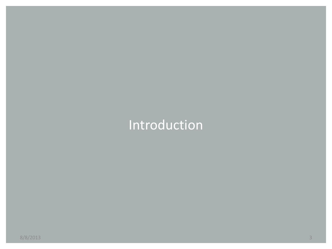# Introduction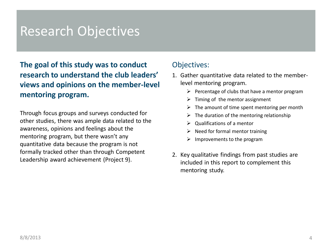### Research Objectives

**The goal of this study was to conduct research to understand the club leaders' views and opinions on the member-level mentoring program.**

Through focus groups and surveys conducted for other studies, there was ample data related to the awareness, opinions and feelings about the mentoring program, but there wasn't any quantitative data because the program is not formally tracked other than through Competent Leadership award achievement (Project 9).

### Objectives:

- 1. Gather quantitative data related to the memberlevel mentoring program.
	- $\triangleright$  Percentage of clubs that have a mentor program
	- $\triangleright$  Timing of the mentor assignment
	- $\triangleright$  The amount of time spent mentoring per month
	- $\triangleright$  The duration of the mentoring relationship
	- $\triangleright$  Qualifications of a mentor
	- $\triangleright$  Need for formal mentor training
	- $\triangleright$  Improvements to the program
- 2. Key qualitative findings from past studies are included in this report to complement this mentoring study.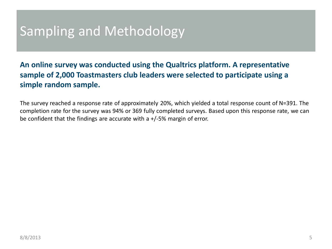# Sampling and Methodology

**An online survey was conducted using the Qualtrics platform. A representative sample of 2,000 Toastmasters club leaders were selected to participate using a simple random sample.** 

The survey reached a response rate of approximately 20%, which yielded a total response count of N=391. The completion rate for the survey was 94% or 369 fully completed surveys. Based upon this response rate, we can be confident that the findings are accurate with a +/-5% margin of error.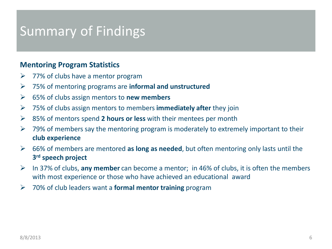# Summary of Findings

### **Mentoring Program Statistics**

- $\triangleright$  77% of clubs have a mentor program
- 75% of mentoring programs are **informal and unstructured**
- 65% of clubs assign mentors to **new members**
- 75% of clubs assign mentors to members **immediately after** they join
- 85% of mentors spend **2 hours or less** with their mentees per month
- $\triangleright$  79% of members say the mentoring program is moderately to extremely important to their **club experience**
- 66% of members are mentored **as long as needed**, but often mentoring only lasts until the **3rd speech project**
- In 37% of clubs, **any member** can become a mentor; in 46% of clubs, it is often the members with most experience or those who have achieved an educational award
- 70% of club leaders want a **formal mentor training** program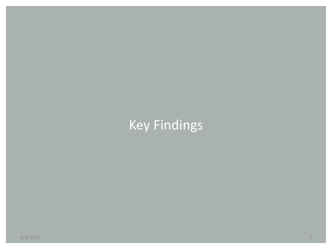# Key Findings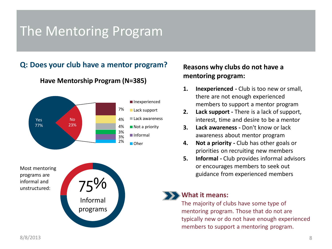# The Mentoring Program

### **Q: Does your club have a mentor program?**



**Have Mentorship Program (N=385)**

#### Most mentoring programs are informal and unstructured:



### **Reasons why clubs do not have a mentoring program:**

- **1. Inexperienced -** Club is too new or small, there are not enough experienced members to support a mentor program
- **2. Lack support -** There is a lack of support, interest, time and desire to be a mentor
- **3. Lack awareness -** Don't know or lack awareness about mentor program
- **4. Not a priority -** Club has other goals or priorities on recruiting new members
- **5. Informal -** Club provides informal advisors or encourages members to seek out guidance from experienced members

#### **What it means:**

The majority of clubs have some type of mentoring program. Those that do not are typically new or do not have enough experienced members to support a mentoring program.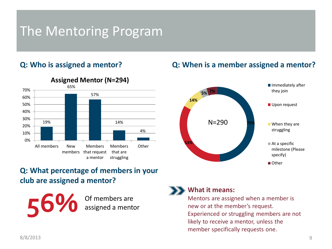# The Mentoring Program

### **Q: Who is assigned a mentor?**



### **Assigned Mentor (N=294)**

### **Q: When is a member assigned a mentor?**



### **Q: What percentage of members in your club are assigned a mentor?**

56% Of members are

assigned a mentor



#### **What it means:**

Mentors are assigned when a member is new or at the member's request. Experienced or struggling members are not likely to receive a mentor, unless the member specifically requests one.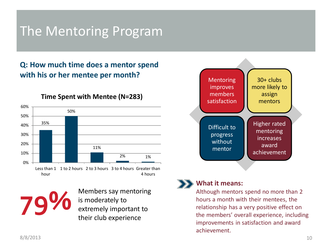# The Mentoring Program

### **Q: How much time does a mentor spend with his or her mentee per month?**



**Time Spent with Mentee (N=283)**

**79%** Members say mentoring<br>
is moderately to<br>
extremely important to is moderately to their club experience



### **What it means:**

Although mentors spend no more than 2 hours a month with their mentees, the relationship has a very positive effect on the members' overall experience, including improvements in satisfaction and award achievement.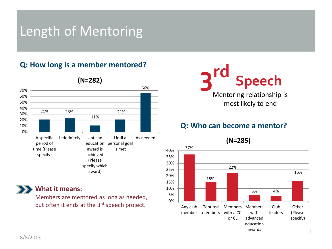# Length of Mentoring

### **Q: How long is a member mentored?**



#### **(N=282)**

# **3rd Speech** Mentoring relationship is most likely to end

### **Q: Who can become a mentor?**

**(N=285)**



**What it means:**

Members are mentored as long as needed, but often it ends at the 3<sup>rd</sup> speech project.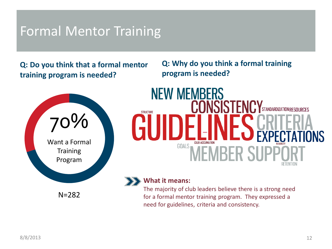# Formal Mentor Training

**Q: Do you think that a formal mentor training program is needed?**

**Q: Why do you think a formal training program is needed?**



# **NEW MEMBERS** STANDARDIZATION RESOURCES **STRUCTURE**  $GOALS$

### **What it means:**

The majority of club leaders believe there is a strong need for a formal mentor training program. They expressed a need for guidelines, criteria and consistency.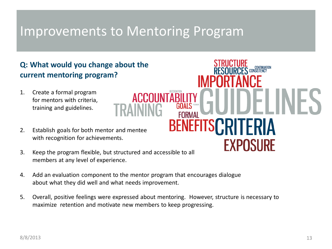# Improvements to Mentoring Program

### **Q: What would you change about the current mentoring program?**

- 1. Create a formal program for mentors with criteria, training and guidelines.
- 2. Establish goals for both mentor and mentee with recognition for achievements.
- 3. Keep the program flexible, but structured and accessible to all members at any level of experience.
- 4. Add an evaluation component to the mentor program that encourages dialogue about what they did well and what needs improvement.
- 5. Overall, positive feelings were expressed about mentoring. However, structure is necessary to maximize retention and motivate new members to keep progressing.

**BENEFI** 

**EXPOSURE**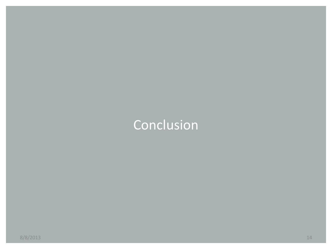# Conclusion